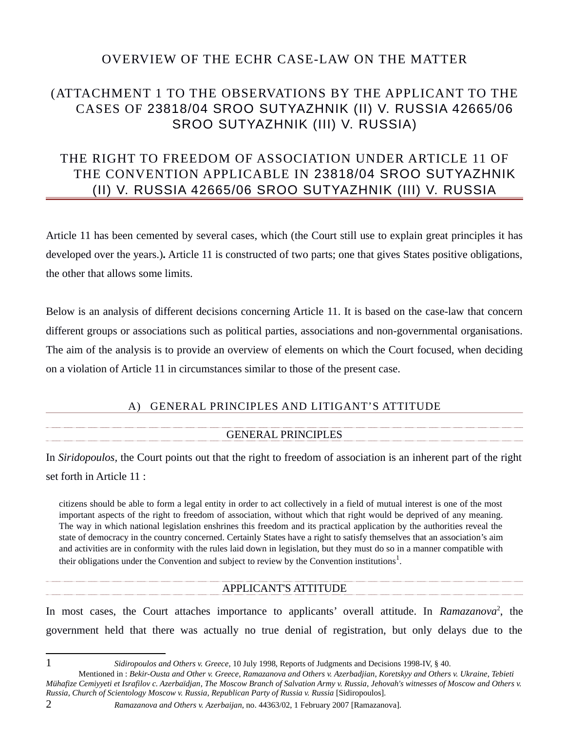## OVERVIEW OF THE ECHR CASE-LAW ON THE MATTER

# (ATTACHMENT 1 TO THE OBSERVATIONS BY THE APPLICANT TO THE CASES OF 23818/04 SROO SUTYAZHNIK (II) V. RUSSIA 42665/06 SROO SUTYAZHNIK (III) V. RUSSIA)

# THE RIGHT TO FREEDOM OF ASSOCIATION UNDER ARTICLE 11 OF THE CONVENTION APPLICABLE IN 23818/04 SROO SUTYAZHNIK (II) V. RUSSIA 42665/06 SROO SUTYAZHNIK (III) V. RUSSIA

Article 11 has been cemented by several cases, which (the Court still use to explain great principles it has developed over the years.)*.* Article 11 is constructed of two parts; one that gives States positive obligations, the other that allows some limits.

Below is an analysis of different decisions concerning Article 11. It is based on the case-law that concern different groups or associations such as political parties, associations and non-governmental organisations. The aim of the analysis is to provide an overview of elements on which the Court focused, when deciding on a violation of Article 11 in circumstances similar to those of the present case.

## A) GENERAL PRINCIPLES AND LITIGANT'S ATTITUDE

## GENERAL PRINCIPLES

In *Siridopoulos,* the Court points out that the right to freedom of association is an inherent part of the right set forth in Article 11 :

citizens should be able to form a legal entity in order to act collectively in a field of mutual interest is one of the most important aspects of the right to freedom of association, without which that right would be deprived of any meaning. The way in which national legislation enshrines this freedom and its practical application by the authorities reveal the state of democracy in the country concerned. Certainly States have a right to satisfy themselves that an association's aim and activities are in conformity with the rules laid down in legislation, but they must do so in a manner compatible with their obligations under the Convention and subject to review by the Convention institutions<sup>[1](#page-0-0)</sup>.

## APPLICANT'S ATTITUDE

In most cases, the Court attaches importance to applicants' overall attitude. In *Ramazanova*<sup>[2](#page-0-1)</sup>, the government held that there was actually no true denial of registration, but only delays due to the

<span id="page-0-0"></span>1 *Sidiropoulos and Others v. Greece*, 10 July 1998, Reports of Judgments and Decisions 1998-IV, § 40.

- Mentioned in : *Bekir-Ousta and Other v. Greece*, *Ramazanova and Others v. Azerbadjian*, *Koretskyy and Others v. Ukraine*, *Tebieti Mühafize Cemiyyeti et Israfilov c. Azerbaïdjan*, *The Moscow Branch of Salvation Army v. Russia*, *Jehovah's witnesses of Moscow and Others v. Russia*, *Church of Scientology Moscow v. Russia*, *Republican Party of Russia v. Russia* [Sidiropoulos].
- 2 *Ramazanova and Others v. Azerbaijan*, no. 44363/02, 1 February 2007 [Ramazanova].
- <span id="page-0-1"></span>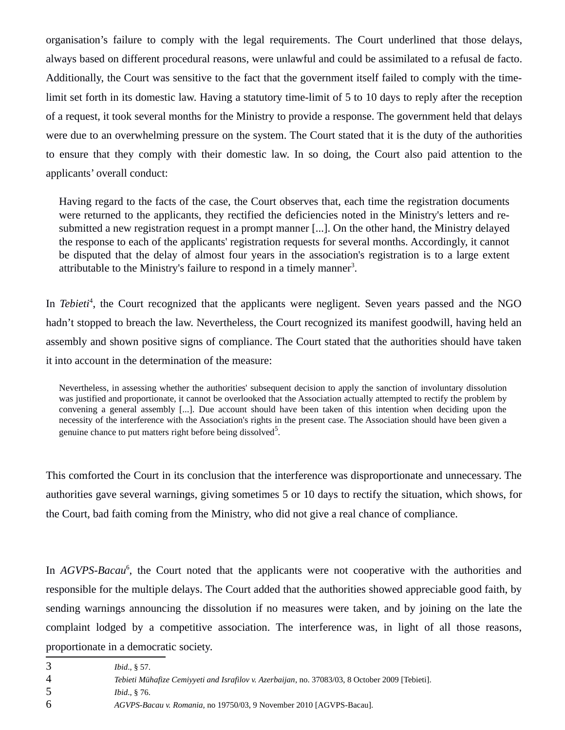organisation's failure to comply with the legal requirements. The Court underlined that those delays, always based on different procedural reasons, were unlawful and could be assimilated to a refusal de facto. Additionally, the Court was sensitive to the fact that the government itself failed to comply with the timelimit set forth in its domestic law. Having a statutory time-limit of 5 to 10 days to reply after the reception of a request, it took several months for the Ministry to provide a response. The government held that delays were due to an overwhelming pressure on the system. The Court stated that it is the duty of the authorities to ensure that they comply with their domestic law. In so doing, the Court also paid attention to the applicants' overall conduct:

Having regard to the facts of the case, the Court observes that, each time the registration documents were returned to the applicants, they rectified the deficiencies noted in the Ministry's letters and resubmitted a new registration request in a prompt manner [...]. On the other hand, the Ministry delayed the response to each of the applicants' registration requests for several months. Accordingly, it cannot be disputed that the delay of almost four years in the association's registration is to a large extent attributable to the Ministry's failure to respond in a timely manner<sup>[3](#page-1-0)</sup>.

In *Tebieti<sup>[4](#page-1-1)</sup>*, the Court recognized that the applicants were negligent. Seven years passed and the NGO hadn't stopped to breach the law. Nevertheless, the Court recognized its manifest goodwill, having held an assembly and shown positive signs of compliance. The Court stated that the authorities should have taken it into account in the determination of the measure:

Nevertheless, in assessing whether the authorities' subsequent decision to apply the sanction of involuntary dissolution was justified and proportionate, it cannot be overlooked that the Association actually attempted to rectify the problem by convening a general assembly [...]. Due account should have been taken of this intention when deciding upon the necessity of the interference with the Association's rights in the present case. The Association should have been given a genuine chance to put matters right before being dissolved<sup>[5](#page-1-2)</sup>.

This comforted the Court in its conclusion that the interference was disproportionate and unnecessary. The authorities gave several warnings, giving sometimes 5 or 10 days to rectify the situation, which shows, for the Court, bad faith coming from the Ministry, who did not give a real chance of compliance.

In *AGVPS-Bacau<sup>[6](#page-1-3)</sup>*, the Court noted that the applicants were not cooperative with the authorities and responsible for the multiple delays. The Court added that the authorities showed appreciable good faith, by sending warnings announcing the dissolution if no measures were taken, and by joining on the late the complaint lodged by a competitive association. The interference was, in light of all those reasons, proportionate in a democratic society.

- <span id="page-1-0"></span>3 *Ibid*., § 57.
- <span id="page-1-1"></span>4 *Tebieti Mühafize Cemiyyeti and Israfilov v. Azerbaijan*, no. 37083/03, 8 October 2009 [Tebieti].
- <span id="page-1-2"></span>5 *Ibid*., § 76.
- <span id="page-1-3"></span>6 *AGVPS-Bacau v. Romania,* no 19750/03, 9 November 2010 [AGVPS-Bacau].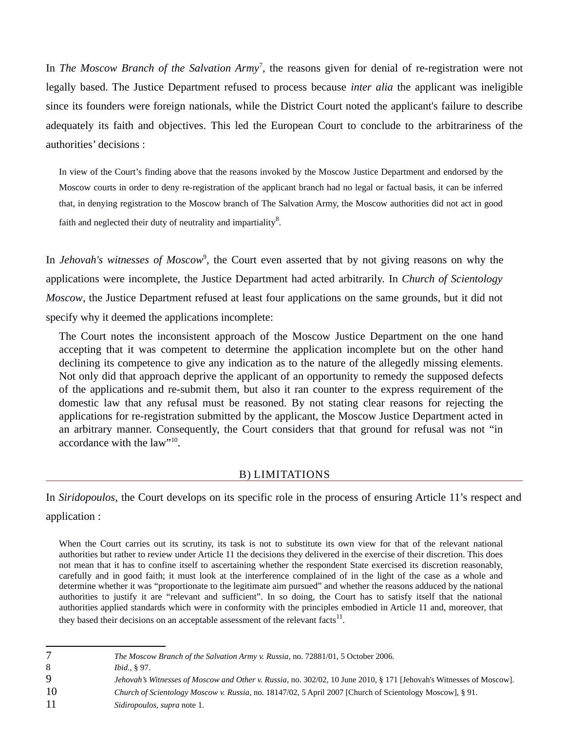In *The Moscow Branch of the Salvation Army*[7](#page-2-0) , the reasons given for denial of re-registration were not legally based. The Justice Department refused to process because *inter alia* the applicant was ineligible since its founders were foreign nationals, while the District Court noted the applicant's failure to describe adequately its faith and objectives. This led the European Court to conclude to the arbitrariness of the authorities' decisions :

In view of the Court's finding above that the reasons invoked by the Moscow Justice Department and endorsed by the Moscow courts in order to deny re-registration of the applicant branch had no legal or factual basis, it can be inferred that, in denying registration to the Moscow branch of The Salvation Army, the Moscow authorities did not act in good faith and neglected their duty of neutrality and impartiality $^{8}$  $^{8}$  $^{8}$ .

In *Jehovah's witnesses of Moscow<sup>[9](#page-2-2)</sup>*, the Court even asserted that by not giving reasons on why the applications were incomplete, the Justice Department had acted arbitrarily. In *Church of Scientology Moscow*, the Justice Department refused at least four applications on the same grounds, but it did not specify why it deemed the applications incomplete:

The Court notes the inconsistent approach of the Moscow Justice Department on the one hand accepting that it was competent to determine the application incomplete but on the other hand declining its competence to give any indication as to the nature of the allegedly missing elements. Not only did that approach deprive the applicant of an opportunity to remedy the supposed defects of the applications and re-submit them, but also it ran counter to the express requirement of the domestic law that any refusal must be reasoned. By not stating clear reasons for rejecting the applications for re-registration submitted by the applicant, the Moscow Justice Department acted in an arbitrary manner. Consequently, the Court considers that that ground for refusal was not "in accordance with the law"<sup>[10](#page-2-3)</sup>.

#### B) LIMITATIONS

In *Siridopoulos*, the Court develops on its specific role in the process of ensuring Article 11's respect and application :

When the Court carries out its scrutiny, its task is not to substitute its own view for that of the relevant national authorities but rather to review under Article 11 the decisions they delivered in the exercise of their discretion. This does not mean that it has to confine itself to ascertaining whether the respondent State exercised its discretion reasonably, carefully and in good faith; it must look at the interference complained of in the light of the case as a whole and determine whether it was "proportionate to the legitimate aim pursued" and whether the reasons adduced by the national authorities to justify it are "relevant and sufficient". In so doing, the Court has to satisfy itself that the national authorities applied standards which were in conformity with the principles embodied in Article 11 and, moreover, that they based their decisions on an acceptable assessment of the relevant facts $^{11}$  $^{11}$  $^{11}$ .

- <span id="page-2-0"></span>7 *The Moscow Branch of the Salvation Army v. Russia*, no. 72881/01, 5 October 2006.
- <span id="page-2-1"></span>8 *Ibid.,* § 97.
- <span id="page-2-2"></span>9 *Jehovah's Witnesses of Moscow and Other v. Russia*, no. 302/02, 10 June 2010, § 171 [Jehovah's Witnesses of Moscow].
- <span id="page-2-3"></span>10 *Church of Scientology Moscow v. Russia*, no. 18147/02, 5 April 2007 [Church of Scientology Moscow], § 91.
- <span id="page-2-4"></span>11 *Sidiropoulos, supra* note 1.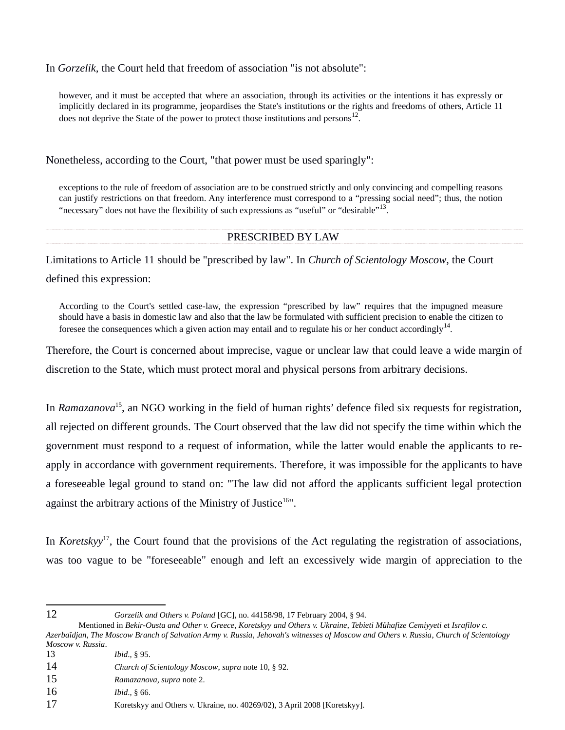In *Gorzelik,* the Court held that freedom of association "is not absolute":

however, and it must be accepted that where an association, through its activities or the intentions it has expressly or implicitly declared in its programme, jeopardises the State's institutions or the rights and freedoms of others, Article 11 does not deprive the State of the power to protect those institutions and persons $^{12}$  $^{12}$  $^{12}$ .

Nonetheless, according to the Court, "that power must be used sparingly":

exceptions to the rule of freedom of association are to be construed strictly and only convincing and compelling reasons can justify restrictions on that freedom. Any interference must correspond to a "pressing social need"; thus, the notion "necessary" does not have the flexibility of such expressions as "useful" or "desirable"<sup>[13](#page-3-1)</sup>.

### PRESCRIBED BY LAW

Limitations to Article 11 should be "prescribed by law". In *Church of Scientology Moscow*, the Court defined this expression:

According to the Court's settled case-law, the expression "prescribed by law" requires that the impugned measure should have a basis in domestic law and also that the law be formulated with sufficient precision to enable the citizen to foresee the consequences which a given action may entail and to regulate his or her conduct accordingly<sup>[14](#page-3-2)</sup>.

Therefore, the Court is concerned about imprecise, vague or unclear law that could leave a wide margin of discretion to the State, which must protect moral and physical persons from arbitrary decisions.

In *Ramazanova*[15](#page-3-3), an NGO working in the field of human rights' defence filed six requests for registration, all rejected on different grounds. The Court observed that the law did not specify the time within which the government must respond to a request of information, while the latter would enable the applicants to reapply in accordance with government requirements. Therefore, it was impossible for the applicants to have a foreseeable legal ground to stand on: "The law did not afford the applicants sufficient legal protection against the arbitrary actions of the Ministry of Justice $16$ ".

In *Koretskyy*[17](#page-3-5), the Court found that the provisions of the Act regulating the registration of associations, was too vague to be "foreseeable" enough and left an excessively wide margin of appreciation to the

<span id="page-3-0"></span>

12 *Gorzelik and Others v. Poland* [GC], no. 44158/98, 17 February 2004, § 94.

- <span id="page-3-1"></span>13 *Ibid*., § 95.
- <span id="page-3-2"></span>14 *Church of Scientology Moscow*, *supra* note 10, § 92.
- <span id="page-3-3"></span>15 *Ramazanova, supra* note 2.
- <span id="page-3-4"></span>16 *Ibid*., § 66.

Mentioned in *Bekir-Ousta and Other v. Greece*, *Koretskyy and Others v. Ukraine*, *Tebieti Mühafize Cemiyyeti et Israfilov c. Azerbaïdjan*, *The Moscow Branch of Salvation Army v. Russia*, *Jehovah's witnesses of Moscow and Others v. Russia*, *Church of Scientology Moscow v. Russia*.

<span id="page-3-5"></span><sup>17</sup> Koretskyy and Others v. Ukraine, no. 40269/02), 3 April 2008 [Koretskyy].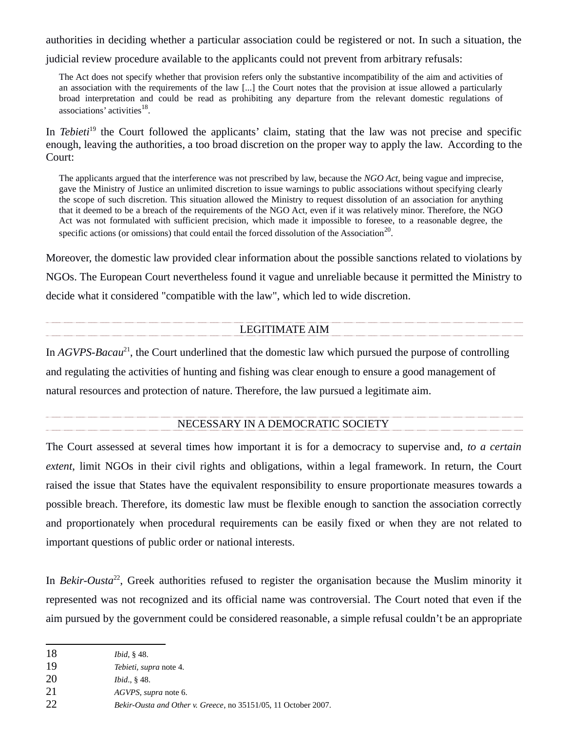authorities in deciding whether a particular association could be registered or not. In such a situation, the

judicial review procedure available to the applicants could not prevent from arbitrary refusals:

The Act does not specify whether that provision refers only the substantive incompatibility of the aim and activities of an association with the requirements of the law [...] the Court notes that the provision at issue allowed a particularly broad interpretation and could be read as prohibiting any departure from the relevant domestic regulations of associations' activities $^{18}$  $^{18}$  $^{18}$ .

In *Tebieti*<sup>[19](#page-4-1)</sup> the Court followed the applicants' claim, stating that the law was not precise and specific enough, leaving the authorities, a too broad discretion on the proper way to apply the law. According to the Court:

The applicants argued that the interference was not prescribed by law, because the *NGO Act*, being vague and imprecise, gave the Ministry of Justice an unlimited discretion to issue warnings to public associations without specifying clearly the scope of such discretion. This situation allowed the Ministry to request dissolution of an association for anything that it deemed to be a breach of the requirements of the NGO Act, even if it was relatively minor. Therefore, the NGO Act was not formulated with sufficient precision, which made it impossible to foresee, to a reasonable degree, the specific actions (or omissions) that could entail the forced dissolution of the Association<sup>[20](#page-4-2)</sup>.

Moreover, the domestic law provided clear information about the possible sanctions related to violations by NGOs. The European Court nevertheless found it vague and unreliable because it permitted the Ministry to decide what it considered "compatible with the law", which led to wide discretion.

### LEGITIMATE AIM

In *AGVPS-Bacau*[21](#page-4-3), the Court underlined that the domestic law which pursued the purpose of controlling and regulating the activities of hunting and fishing was clear enough to ensure a good management of natural resources and protection of nature. Therefore, the law pursued a legitimate aim.

#### NECESSARY IN A DEMOCRATIC SOCIETY

The Court assessed at several times how important it is for a democracy to supervise and, *to a certain extent*, limit NGOs in their civil rights and obligations, within a legal framework. In return, the Court raised the issue that States have the equivalent responsibility to ensure proportionate measures towards a possible breach. Therefore, its domestic law must be flexible enough to sanction the association correctly and proportionately when procedural requirements can be easily fixed or when they are not related to important questions of public order or national interests.

In *Bekir-Ousta*[22](#page-4-4), Greek authorities refused to register the organisation because the Muslim minority it represented was not recognized and its official name was controversial. The Court noted that even if the aim pursued by the government could be considered reasonable, a simple refusal couldn't be an appropriate

<span id="page-4-0"></span><sup>18</sup> *Ibid*, § 48.

<span id="page-4-1"></span><sup>19</sup> *Tebieti, supra* note 4.

<span id="page-4-2"></span><sup>20</sup> *Ibid*., § 48.

<span id="page-4-3"></span><sup>21</sup> *AGVPS, supra* note 6.

<span id="page-4-4"></span><sup>22</sup> *Bekir-Ousta and Other v. Greece*, no 35151/05, 11 October 2007.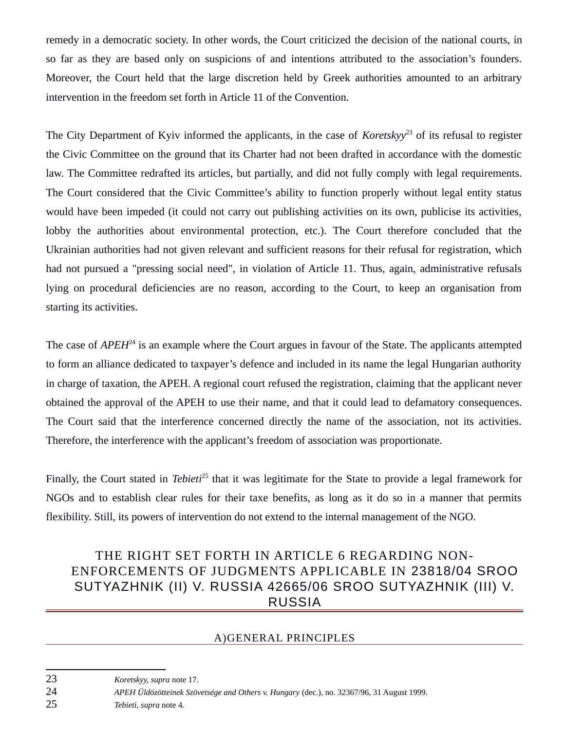remedy in a democratic society. In other words, the Court criticized the decision of the national courts, in so far as they are based only on suspicions of and intentions attributed to the association's founders. Moreover, the Court held that the large discretion held by Greek authorities amounted to an arbitrary intervention in the freedom set forth in Article 11 of the Convention.

The City Department of Kyiv informed the applicants, in the case of *Koretskyy*<sup>[23](#page-5-0)</sup> of its refusal to register the Civic Committee on the ground that its Charter had not been drafted in accordance with the domestic law. The Committee redrafted its articles, but partially, and did not fully comply with legal requirements. The Court considered that the Civic Committee's ability to function properly without legal entity status would have been impeded (it could not carry out publishing activities on its own, publicise its activities, lobby the authorities about environmental protection, etc.). The Court therefore concluded that the Ukrainian authorities had not given relevant and sufficient reasons for their refusal for registration, which had not pursued a "pressing social need", in violation of Article 11. Thus, again, administrative refusals lying on procedural deficiencies are no reason, according to the Court, to keep an organisation from starting its activities.

The case of *APEH*<sup>[24](#page-5-1)</sup> is an example where the Court argues in favour of the State. The applicants attempted to form an alliance dedicated to taxpayer's defence and included in its name the legal Hungarian authority in charge of taxation, the APEH. A regional court refused the registration, claiming that the applicant never obtained the approval of the APEH to use their name, and that it could lead to defamatory consequences. The Court said that the interference concerned directly the name of the association, not its activities. Therefore, the interference with the applicant's freedom of association was proportionate.

Finally, the Court stated in *Tebieti*[25](#page-5-2) that it was legitimate for the State to provide a legal framework for NGOs and to establish clear rules for their taxe benefits, as long as it do so in a manner that permits flexibility. Still, its powers of intervention do not extend to the internal management of the NGO.

# THE RIGHT SET FORTH IN ARTICLE 6 REGARDING NON-ENFORCEMENTS OF JUDGMENTS APPLICABLE IN 23818/04 SROO SUTYAZHNIK (II) V. RUSSIA 42665/06 SROO SUTYAZHNIK (III) V. RUSSIA

### A)GENERAL PRINCIPLES

<span id="page-5-2"></span>25 *Tebieti, supra* note 4.

<span id="page-5-0"></span><sup>23</sup> *Koretskyy, supra* note 17.

<span id="page-5-1"></span><sup>24</sup> *APEH Üldözötteinek Szövetsége and Others v. Hungary* (dec.), no. 32367/96, 31 August 1999.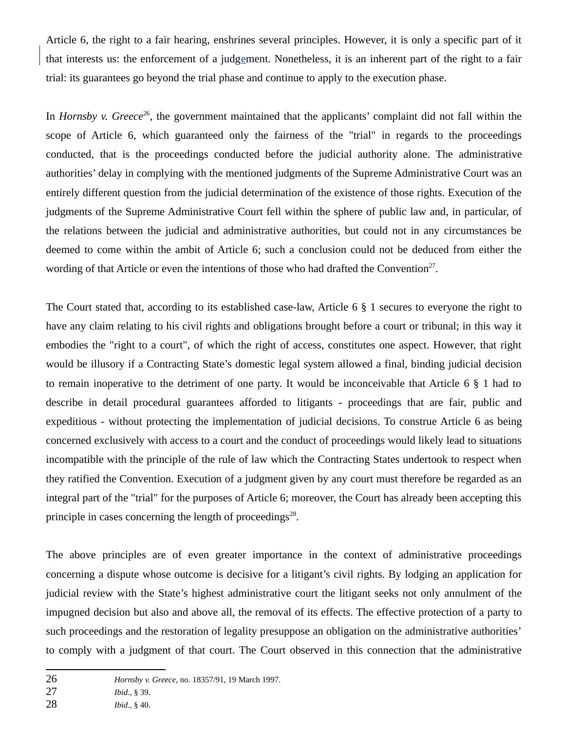Article 6, the right to a fair hearing, enshrines several principles. However, it is only a specific part of it that interests us: the enforcement of a judgement. Nonetheless, it is an inherent part of the right to a fair trial: its guarantees go beyond the trial phase and continue to apply to the execution phase.

In *Hornsby v. Greece*<sup>[26](#page-6-0)</sup>, the government maintained that the applicants' complaint did not fall within the scope of Article 6, which guaranteed only the fairness of the "trial" in regards to the proceedings conducted, that is the proceedings conducted before the judicial authority alone. The administrative authorities' delay in complying with the mentioned judgments of the Supreme Administrative Court was an entirely different question from the judicial determination of the existence of those rights. Execution of the judgments of the Supreme Administrative Court fell within the sphere of public law and, in particular, of the relations between the judicial and administrative authorities, but could not in any circumstances be deemed to come within the ambit of Article 6; such a conclusion could not be deduced from either the wording of that Article or even the intentions of those who had drafted the Convention<sup>[27](#page-6-1)</sup>.

The Court stated that, according to its established case-law, Article 6 § 1 secures to everyone the right to have any claim relating to his civil rights and obligations brought before a court or tribunal; in this way it embodies the "right to a court", of which the right of access, constitutes one aspect. However, that right would be illusory if a Contracting State's domestic legal system allowed a final, binding judicial decision to remain inoperative to the detriment of one party. It would be inconceivable that Article 6 § 1 had to describe in detail procedural guarantees afforded to litigants - proceedings that are fair, public and expeditious - without protecting the implementation of judicial decisions. To construe Article 6 as being concerned exclusively with access to a court and the conduct of proceedings would likely lead to situations incompatible with the principle of the rule of law which the Contracting States undertook to respect when they ratified the Convention. Execution of a judgment given by any court must therefore be regarded as an integral part of the "trial" for the purposes of Article 6; moreover, the Court has already been accepting this principle in cases concerning the length of proceedings $^{28}$  $^{28}$  $^{28}$ .

The above principles are of even greater importance in the context of administrative proceedings concerning a dispute whose outcome is decisive for a litigant's civil rights. By lodging an application for judicial review with the State's highest administrative court the litigant seeks not only annulment of the impugned decision but also and above all, the removal of its effects. The effective protection of a party to such proceedings and the restoration of legality presuppose an obligation on the administrative authorities' to comply with a judgment of that court. The Court observed in this connection that the administrative

<span id="page-6-0"></span><sup>26</sup> *Hornsby v. Greece*, no. 18357/91, 19 March 1997.

<span id="page-6-1"></span><sup>27</sup> *Ibid*., § 39.

<span id="page-6-2"></span><sup>28</sup> *Ibid*., § 40.